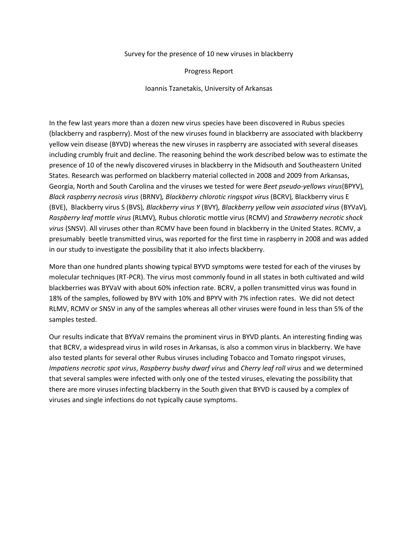## Survey for the presence of 10 new viruses in blackberry

Progress Report

Ioannis Tzanetakis, University of Arkansas

In the few last years more than a dozen new virus species have been discovered in Rubus species (blackberry and raspberry). Most of the new viruses found in blackberry are associated with blackberry yellow vein disease (BYVD) whereas the new viruses in raspberry are associated with several diseases including crumbly fruit and decline. The reasoning behind the work described below was to estimate the presence of 10 of the newly discovered viruses in blackberry in the Midsouth and Southeastern United States. Research was performed on blackberry material collected in 2008 and 2009 from Arkansas, Georgia, North and South Carolina and the viruses we tested for were *Beet pseudo-yellows virus*(BPYV)*, Black raspberry necrosis virus* (BRNV)*, Blackberry chlorotic ringspot virus* (BCRV)*,* Blackberry virus E (BVE), Blackberry virus S (BVS)*, Blackberry virus Y* (BVY)*, Blackberry yellow vein associated virus* (BYVaV)*, Raspberry leaf mottle virus* (RLMV)*,* Rubus chlorotic mottle virus (RCMV) and *Strawberry necrotic shock virus* (SNSV). All viruses other than RCMV have been found in blackberry in the United States. RCMV, a presumably beetle transmitted virus, was reported for the first time in raspberry in 2008 and was added in our study to investigate the possibility that it also infects blackberry.

More than one hundred plants showing typical BYVD symptoms were tested for each of the viruses by molecular techniques (RT-PCR). The virus most commonly found in all states in both cultivated and wild blackberries was BYVaV with about 60% infection rate. BCRV, a pollen transmitted virus was found in 18% of the samples, followed by BYV with 10% and BPYV with 7% infection rates. We did not detect RLMV, RCMV or SNSV in any of the samples whereas all other viruses were found in less than 5% of the samples tested.

Our results indicate that BYVaV remains the prominent virus in BYVD plants. An interesting finding was that BCRV, a widespread virus in wild roses in Arkansas, is also a common virus in blackberry. We have also tested plants for several other Rubus viruses including Tobacco and Tomato ringspot viruses, *Impatiens necrotic spot virus*, *Raspberry bushy dwarf virus* and *Cherry leaf roll virus* and we determined that several samples were infected with only one of the tested viruses, elevating the possibility that there are more viruses infecting blackberry in the South given that BYVD is caused by a complex of viruses and single infections do not typically cause symptoms.